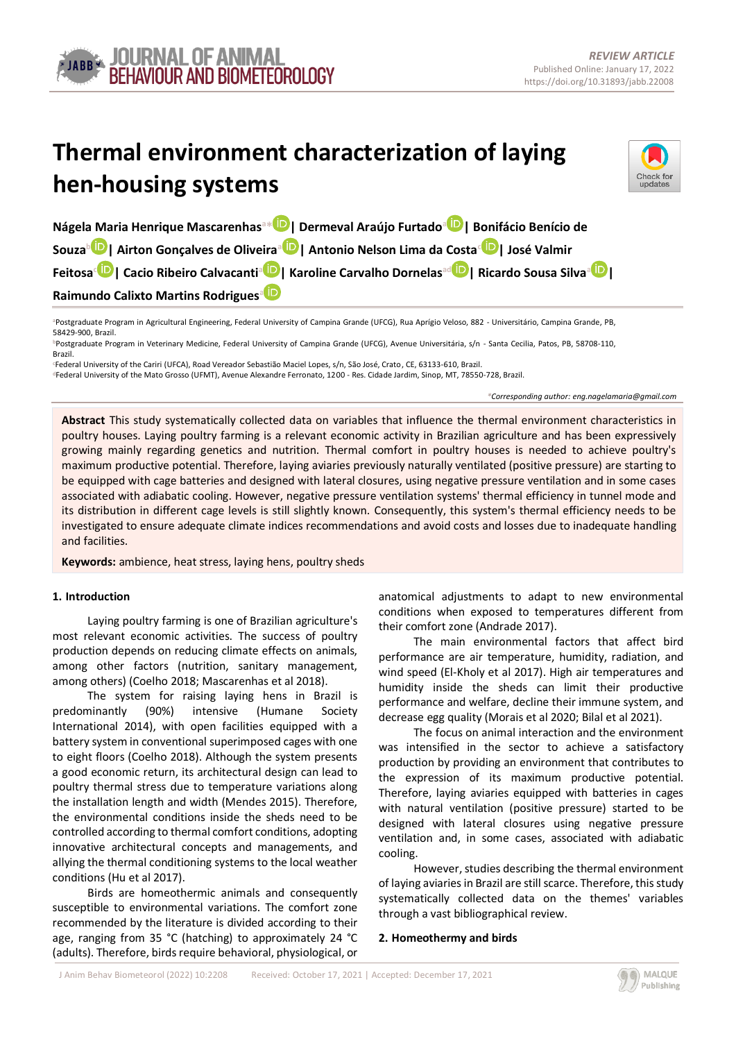# **Thermal environment characterization of laying hen-housing systems**



**Nágela Maria Henrique Mascarenhas<sup>a</sup>[\\*](https://orcid.org/0000-0001-9059-3695) | Dermeval Araújo Furtado[a](https://orcid.org/0000-0003-4511-571X) | Bonifácio Benício de Souza[b](https://orcid.org/0000-0003-3875-1718) | Airton Gonçalves de Oliveira[a](https://orcid.org/0000-0001-7150-0123) | Antonio Nelson Lima da Costa[c](https://orcid.org/0000-0001-8881-6837) | José Valmir Feitosa[c](https://orcid.org/0000-0003-0455-7642) | Cacio Ribeiro Calvacanti[a](https://orcid.org/0000-0002-3373-8904) | Karoline Carvalho Dornelasa[d](https://orcid.org/0000-0003-3780-913X) | Ricardo Sousa Silva[a](https://orcid.org/0000-0001-9572-5511) | Raimundo Calixto Martins Rodrigues[a](https://orcid.org/0000-0001-8437-7857)**

**<sup>a</sup>**Postgraduate Program in Agricultural Engineering, Federal University of Campina Grande (UFCG), Rua Aprígio Veloso, 882 - Universitário, Campina Grande, PB, 58429-900, Brazil.

**<sup>b</sup>**Postgraduate Program in Veterinary Medicine, Federal University of Campina Grande (UFCG), Avenue Universitária, s/n - Santa Cecilia, Patos, PB, 58708-110, Brazil.

**<sup>c</sup>**Federal University of the Cariri (UFCA), Road Vereador Sebastião Maciel Lopes, s/n, São José, Crato, CE, 63133-610, Brazil. **<sup>d</sup>**Federal University of the Mato Grosso (UFMT), Avenue Alexandre Ferronato, 1200 - Res. Cidade Jardim, Sinop, MT, 78550-728, Brazil.

*\*Corresponding author[: eng.nagelamaria@gmail.com](eng.nagelamaria@gmail.com)*

**Abstract** This study systematically collected data on variables that influence the thermal environment characteristics in poultry houses. Laying poultry farming is a relevant economic activity in Brazilian agriculture and has been expressively growing mainly regarding genetics and nutrition. Thermal comfort in poultry houses is needed to achieve poultry's maximum productive potential. Therefore, laying aviaries previously naturally ventilated (positive pressure) are starting to be equipped with cage batteries and designed with lateral closures, using negative pressure ventilation and in some cases associated with adiabatic cooling. However, negative pressure ventilation systems' thermal efficiency in tunnel mode and its distribution in different cage levels is still slightly known. Consequently, this system's thermal efficiency needs to be investigated to ensure adequate climate indices recommendations and avoid costs and losses due to inadequate handling and facilities.

**Keywords:** ambience, heat stress, laying hens, poultry sheds

# **1. Introduction**

Laying poultry farming is one of Brazilian agriculture's most relevant economic activities. The success of poultry production depends on reducing climate effects on animals, among other factors (nutrition, sanitary management, among others) (Coelho 2018; Mascarenhas et al 2018).

The system for raising laying hens in Brazil is predominantly (90%) intensive (Humane Society International 2014), with open facilities equipped with a battery system in conventional superimposed cages with one to eight floors (Coelho 2018). Although the system presents a good economic return, its architectural design can lead to poultry thermal stress due to temperature variations along the installation length and width (Mendes 2015). Therefore, the environmental conditions inside the sheds need to be controlled according to thermal comfort conditions, adopting innovative architectural concepts and managements, and allying the thermal conditioning systems to the local weather conditions (Hu et al 2017).

Birds are homeothermic animals and consequently susceptible to environmental variations. The comfort zone recommended by the literature is divided according to their age, ranging from 35 °C (hatching) to approximately 24 °C (adults). Therefore, birds require behavioral, physiological, or anatomical adjustments to adapt to new environmental conditions when exposed to temperatures different from their comfort zone (Andrade 2017).

The main environmental factors that affect bird performance are air temperature, humidity, radiation, and wind speed (El-Kholy et al 2017). High air temperatures and humidity inside the sheds can limit their productive performance and welfare, decline their immune system, and decrease egg quality (Morais et al 2020; Bilal et al 2021).

The focus on animal interaction and the environment was intensified in the sector to achieve a satisfactory production by providing an environment that contributes to the expression of its maximum productive potential. Therefore, laying aviaries equipped with batteries in cages with natural ventilation (positive pressure) started to be designed with lateral closures using negative pressure ventilation and, in some cases, associated with adiabatic cooling.

However, studies describing the thermal environment of laying aviaries in Brazil are still scarce. Therefore, this study systematically collected data on the themes' variables through a vast bibliographical review.

## **2. Homeothermy and birds**

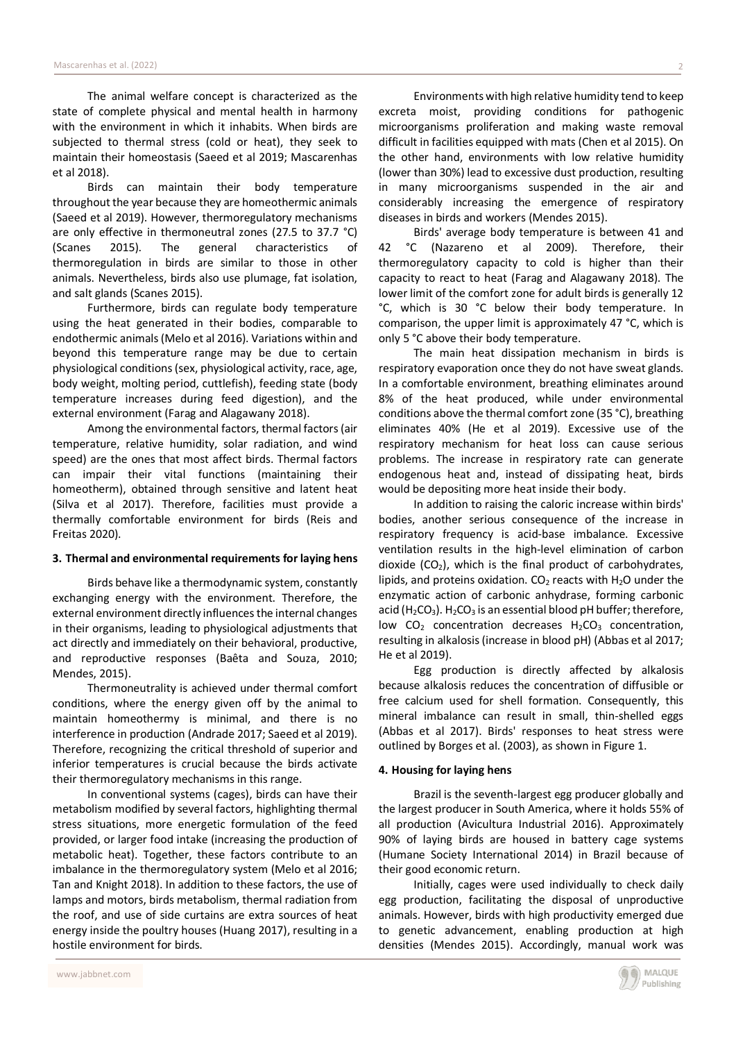The animal welfare concept is characterized as the state of complete physical and mental health in harmony with the environment in which it inhabits. When birds are subjected to thermal stress (cold or heat), they seek to maintain their homeostasis (Saeed et al 2019; Mascarenhas et al 2018).

Birds can maintain their body temperature throughout the year because they are homeothermic animals (Saeed et al 2019). However, thermoregulatory mechanisms are only effective in thermoneutral zones (27.5 to 37.7 °C) (Scanes 2015). The general characteristics of thermoregulation in birds are similar to those in other animals. Nevertheless, birds also use plumage, fat isolation, and salt glands (Scanes 2015).

Furthermore, birds can regulate body temperature using the heat generated in their bodies, comparable to endothermic animals(Melo et al 2016). Variations within and beyond this temperature range may be due to certain physiological conditions(sex, physiological activity, race, age, body weight, molting period, cuttlefish), feeding state (body temperature increases during feed digestion), and the external environment (Farag and Alagawany 2018).

Among the environmental factors, thermal factors(air temperature, relative humidity, solar radiation, and wind speed) are the ones that most affect birds. Thermal factors can impair their vital functions (maintaining their homeotherm), obtained through sensitive and latent heat (Silva et al 2017). Therefore, facilities must provide a thermally comfortable environment for birds (Reis and Freitas 2020).

#### **3. Thermal and environmental requirements for laying hens**

Birds behave like a thermodynamic system, constantly exchanging energy with the environment. Therefore, the external environment directly influences the internal changes in their organisms, leading to physiological adjustments that act directly and immediately on their behavioral, productive, and reproductive responses (Baêta and Souza, 2010; Mendes, 2015).

Thermoneutrality is achieved under thermal comfort conditions, where the energy given off by the animal to maintain homeothermy is minimal, and there is no interference in production (Andrade 2017; Saeed et al 2019). Therefore, recognizing the critical threshold of superior and inferior temperatures is crucial because the birds activate their thermoregulatory mechanisms in this range.

In conventional systems (cages), birds can have their metabolism modified by several factors, highlighting thermal stress situations, more energetic formulation of the feed provided, or larger food intake (increasing the production of metabolic heat). Together, these factors contribute to an imbalance in the thermoregulatory system (Melo et al 2016; Tan and Knight 2018). In addition to these factors, the use of lamps and motors, birds metabolism, thermal radiation from the roof, and use of side curtains are extra sources of heat energy inside the poultry houses (Huang 2017), resulting in a hostile environment for birds.

Environments with high relative humidity tend to keep excreta moist, providing conditions for pathogenic microorganisms proliferation and making waste removal difficult in facilities equipped with mats (Chen et al 2015). On the other hand, environments with low relative humidity (lower than 30%) lead to excessive dust production, resulting in many microorganisms suspended in the air and considerably increasing the emergence of respiratory diseases in birds and workers (Mendes 2015).

Birds' average body temperature is between 41 and 42 °C (Nazareno et al 2009). Therefore, their thermoregulatory capacity to cold is higher than their capacity to react to heat (Farag and Alagawany 2018). The lower limit of the comfort zone for adult birds is generally 12 °C, which is 30 °C below their body temperature. In comparison, the upper limit is approximately 47 °C, which is only 5 °C above their body temperature.

The main heat dissipation mechanism in birds is respiratory evaporation once they do not have sweat glands. In a comfortable environment, breathing eliminates around 8% of the heat produced, while under environmental conditions above the thermal comfort zone (35 °C), breathing eliminates 40% (He et al 2019). Excessive use of the respiratory mechanism for heat loss can cause serious problems. The increase in respiratory rate can generate endogenous heat and, instead of dissipating heat, birds would be depositing more heat inside their body.

In addition to raising the caloric increase within birds' bodies, another serious consequence of the increase in respiratory frequency is acid-base imbalance. Excessive ventilation results in the high-level elimination of carbon dioxide  $(CO<sub>2</sub>)$ , which is the final product of carbohydrates, lipids, and proteins oxidation.  $CO<sub>2</sub>$  reacts with H<sub>2</sub>O under the enzymatic action of carbonic anhydrase, forming carbonic acid (H<sub>2</sub>CO<sub>3</sub>). H<sub>2</sub>CO<sub>3</sub> is an essential blood pH buffer; therefore, low  $CO<sub>2</sub>$  concentration decreases  $H<sub>2</sub>CO<sub>3</sub>$  concentration, resulting in alkalosis(increase in blood pH) (Abbas et al 2017; He et al 2019).

Egg production is directly affected by alkalosis because alkalosis reduces the concentration of diffusible or free calcium used for shell formation. Consequently, this mineral imbalance can result in small, thin-shelled eggs (Abbas et al 2017). Birds' responses to heat stress were outlined by Borges et al. (2003), as shown in Figure 1.

## **4. Housing for laying hens**

Brazil is the seventh-largest egg producer globally and the largest producer in South America, where it holds 55% of all production (Avicultura Industrial 2016). Approximately 90% of laying birds are housed in battery cage systems (Humane Society International 2014) in Brazil because of their good economic return.

Initially, cages were used individually to check daily egg production, facilitating the disposal of unproductive animals. However, birds with high productivity emerged due to genetic advancement, enabling production at high densities (Mendes 2015). Accordingly, manual work was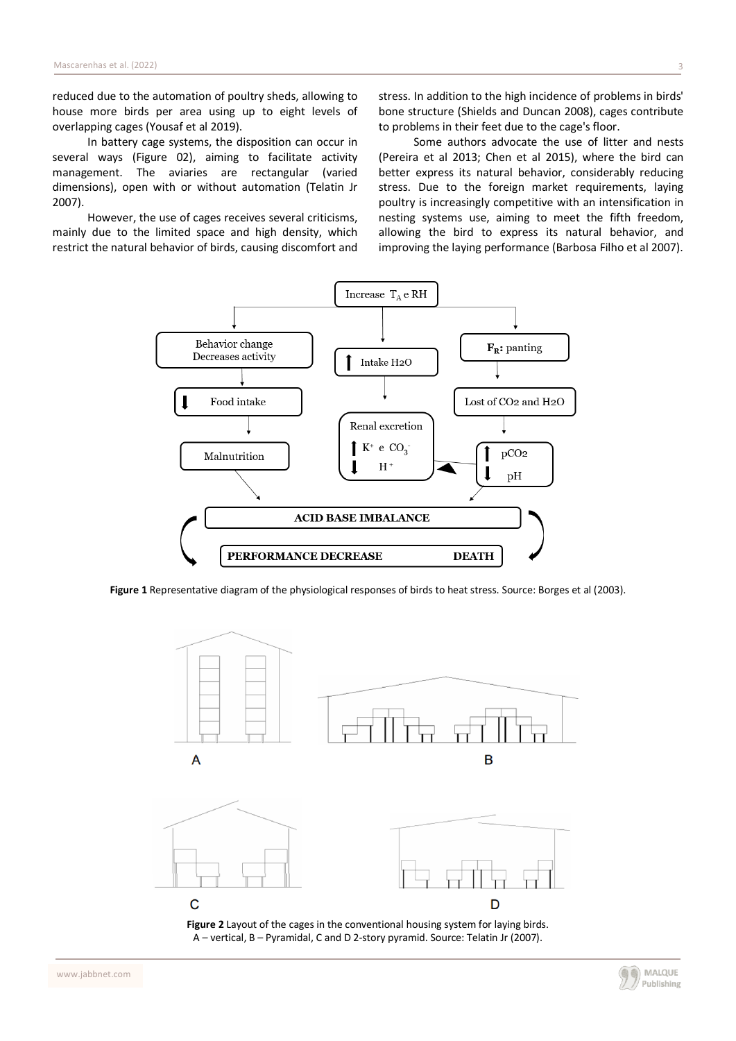reduced due to the automation of poultry sheds, allowing to house more birds per area using up to eight levels of overlapping cages (Yousaf et al 2019).

In battery cage systems, the disposition can occur in several ways (Figure 02), aiming to facilitate activity management. The aviaries are rectangular (varied dimensions), open with or without automation (Telatin Jr 2007).

However, the use of cages receives several criticisms, mainly due to the limited space and high density, which restrict the natural behavior of birds, causing discomfort and stress. In addition to the high incidence of problems in birds' bone structure (Shields and Duncan 2008), cages contribute to problems in their feet due to the cage's floor.

Some authors advocate the use of litter and nests (Pereira et al 2013; Chen et al 2015), where the bird can better express its natural behavior, considerably reducing stress. Due to the foreign market requirements, laying poultry is increasingly competitive with an intensification in nesting systems use, aiming to meet the fifth freedom, allowing the bird to express its natural behavior, and improving the laying performance (Barbosa Filho et al 2007).



**Figure 1** Representative diagram of the physiological responses of birds to heat stress. Source: Borges et al (2003).



**Figure 2** Layout of the cages in the conventional housing system for laying birds. A – vertical, B – Pyramidal, C and D 2-story pyramid. Source: Telatin Jr (2007).

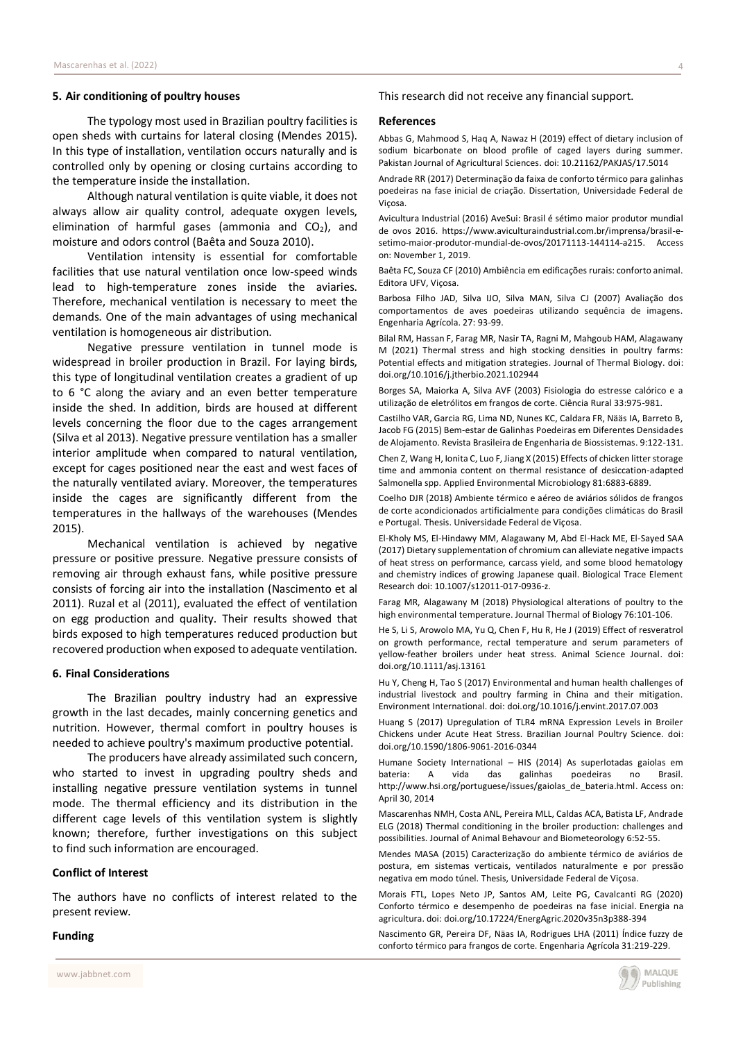#### **5. Air conditioning of poultry houses**

The typology most used in Brazilian poultry facilities is open sheds with curtains for lateral closing (Mendes 2015). In this type of installation, ventilation occurs naturally and is controlled only by opening or closing curtains according to the temperature inside the installation.

Although natural ventilation is quite viable, it does not always allow air quality control, adequate oxygen levels, elimination of harmful gases (ammonia and  $CO<sub>2</sub>$ ), and moisture and odors control (Baêta and Souza 2010).

Ventilation intensity is essential for comfortable facilities that use natural ventilation once low-speed winds lead to high-temperature zones inside the aviaries. Therefore, mechanical ventilation is necessary to meet the demands. One of the main advantages of using mechanical ventilation is homogeneous air distribution.

Negative pressure ventilation in tunnel mode is widespread in broiler production in Brazil. For laying birds, this type of longitudinal ventilation creates a gradient of up to 6 °C along the aviary and an even better temperature inside the shed. In addition, birds are housed at different levels concerning the floor due to the cages arrangement (Silva et al 2013). Negative pressure ventilation has a smaller interior amplitude when compared to natural ventilation, except for cages positioned near the east and west faces of the naturally ventilated aviary. Moreover, the temperatures inside the cages are significantly different from the temperatures in the hallways of the warehouses (Mendes 2015).

Mechanical ventilation is achieved by negative pressure or positive pressure. Negative pressure consists of removing air through exhaust fans, while positive pressure consists of forcing air into the installation (Nascimento et al 2011). Ruzal et al (2011), evaluated the effect of ventilation on egg production and quality. Their results showed that birds exposed to high temperatures reduced production but recovered production when exposed to adequate ventilation.

## **6. Final Considerations**

The Brazilian poultry industry had an expressive growth in the last decades, mainly concerning genetics and nutrition. However, thermal comfort in poultry houses is needed to achieve poultry's maximum productive potential.

The producers have already assimilated such concern, who started to invest in upgrading poultry sheds and installing negative pressure ventilation systems in tunnel mode. The thermal efficiency and its distribution in the different cage levels of this ventilation system is slightly known; therefore, further investigations on this subject to find such information are encouraged.

## **Conflict of Interest**

The authors have no conflicts of interest related to the present review.

## **Funding**

This research did not receive any financial support.

#### **References**

Abbas G, Mahmood S, Haq A, Nawaz H (2019) effect of dietary inclusion of sodium bicarbonate on blood profile of caged layers during summer. Pakistan Journal of Agricultural Sciences. doi: 10.21162/PAKJAS/17.5014

Andrade RR (2017) Determinação da faixa de conforto térmico para galinhas poedeiras na fase inicial de criação. Dissertation, Universidade Federal de Viçosa.

Avicultura Industrial (2016) AveSui: Brasil é sétimo maior produtor mundial de ovos 2016. [https://www.aviculturaindustrial.com.br/imprensa/brasil-e](https://www.aviculturaindustrial.com.br/imprensa/brasil-e-setimo-maior-produtor-mundial-de-ovos/20171113-144114-a215)[setimo-maior-produtor-mundial-de-ovos/20171113-144114-a215.](https://www.aviculturaindustrial.com.br/imprensa/brasil-e-setimo-maior-produtor-mundial-de-ovos/20171113-144114-a215) Access on: November 1, 2019.

Baêta FC, Souza CF (2010) Ambiência em edificações rurais: conforto animal. Editora UFV, Viçosa.

Barbosa Filho JAD, Silva IJO, Silva MAN, Silva CJ (2007) Avaliação dos comportamentos de aves poedeiras utilizando sequência de imagens. Engenharia Agrícola. 27: 93-99.

Bilal RM, Hassan F, Farag MR, Nasir TA, Ragni M, Mahgoub HAM, Alagawany M (2021) Thermal stress and high stocking densities in poultry farms: Potential effects and mitigation strategies. Journal of Thermal Biology. doi: [doi.org/10.1016/j.jtherbio.2021.102944](https://doi.org/10.1016/j.jtherbio.2021.102944)

Borges SA, Maiorka A, Silva AVF (2003) Fisiologia do estresse calórico e a utilização de eletrólitos em frangos de corte. Ciência Rural 33:975-981.

Castilho VAR, Garcia RG, Lima ND, Nunes KC, Caldara FR, Nääs IA, Barreto B, Jacob FG (2015) Bem-estar de Galinhas Poedeiras em Diferentes Densidades de Alojamento. Revista Brasileira de Engenharia de Biossistemas. 9:122-131.

Chen Z, Wang H, Ionita C, Luo F, Jiang X (2015) Effects of chicken litter storage time and ammonia content on thermal resistance of desiccation-adapted Salmonella spp. Applied Environmental Microbiology 81:6883-6889.

Coelho DJR (2018) Ambiente térmico e aéreo de aviários sólidos de frangos de corte acondicionados artificialmente para condições climáticas do Brasil e Portugal. Thesis. Universidade Federal de Viçosa.

El-Kholy MS, El-Hindawy MM, Alagawany M, Abd El-Hack ME, El-Sayed SAA (2017) Dietary supplementation of chromium can alleviate negative impacts of heat stress on performance, carcass yield, and some blood hematology and chemistry indices of growing Japanese quail. Biological Trace Element Research doi: 10.1007/s12011-017-0936-z.

Farag MR, Alagawany M (2018) Physiological alterations of poultry to the high environmental temperature. Journal Thermal of Biology 76:101-106.

He S, Li S, Arowolo MA, Yu Q, Chen F, Hu R, He J (2019) Effect of resveratrol on growth performance, rectal temperature and serum parameters of yellow-feather broilers under heat stress. Animal Science Journal. doi: doi.org/10.1111/asj.13161

Hu Y, Cheng H, Tao S (2017) Environmental and human health challenges of industrial livestock and poultry farming in China and their mitigation. Environment International. doi: doi.org/10.1016/j.envint.2017.07.003

Huang S (2017) Upregulation of TLR4 mRNA Expression Levels in Broiler Chickens under Acute Heat Stress. Brazilian Journal Poultry Science. doi: doi.org/10.1590/1806-9061-2016-0344

Humane Society International – HIS (2014) As superlotadas gaiolas em bateria: A vida das galinhas poedeiras no Brasil. [http://www.hsi.org/portuguese/issues/gaiolas\\_de\\_bateria.html.](http://www.hsi.org/portuguese/issues/gaiolas_de_bateria.html) Access on: April 30, 2014

Mascarenhas NMH, Costa ANL, Pereira MLL, Caldas ACA, Batista LF, Andrade ELG (2018) Thermal conditioning in the broiler production: challenges and possibilities. Journal of Animal Behavour and Biometeorology 6:52-55.

Mendes MASA (2015) Caracterização do ambiente térmico de aviários de postura, em sistemas verticais, ventilados naturalmente e por pressão negativa em modo túnel. Thesis, Universidade Federal de Viçosa.

Morais FTL, Lopes Neto JP, Santos AM, Leite PG, Cavalcanti RG (2020) Conforto térmico e desempenho de poedeiras na fase inicial. Energia na agricultura. doi: doi.org/10.17224/EnergAgric.2020v35n3p388-394

Nascimento GR, Pereira DF, Näas IA, Rodrigues LHA (2011) Índice fuzzy de conforto térmico para frangos de corte. Engenharia Agrícola 31:219-229.